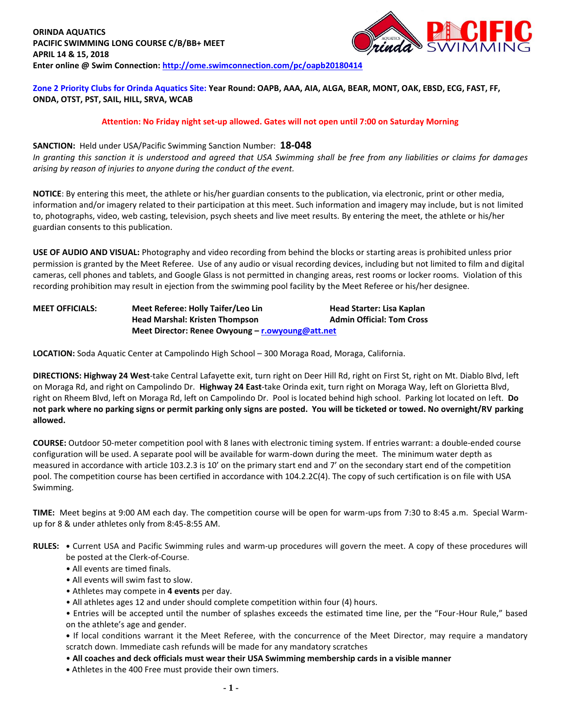

**Zone 2 Priority Clubs for Orinda Aquatics Site: Year Round: OAPB, AAA, AIA, ALGA, BEAR, MONT, OAK, EBSD, ECG, FAST, FF, ONDA, OTST, PST, SAIL, HILL, SRVA, WCAB**

#### **Attention: No Friday night set-up allowed. Gates will not open until 7:00 on Saturday Morning**

## **SANCTION:** Held under USA/Pacific Swimming Sanction Number: **18-048**

*In granting this sanction it is understood and agreed that USA Swimming shall be free from any liabilities or claims for damages arising by reason of injuries to anyone during the conduct of the event.*

**NOTICE**: By entering this meet, the athlete or his/her guardian consents to the publication, via electronic, print or other media, information and/or imagery related to their participation at this meet. Such information and imagery may include, but is not limited to, photographs, video, web casting, television, psych sheets and live meet results. By entering the meet, the athlete or his/her guardian consents to this publication.

**USE OF AUDIO AND VISUAL:** Photography and video recording from behind the blocks or starting areas is prohibited unless prior permission is granted by the Meet Referee. Use of any audio or visual recording devices, including but not limited to film and digital cameras, cell phones and tablets, and Google Glass is not permitted in changing areas, rest rooms or locker rooms. Violation of this recording prohibition may result in ejection from the swimming pool facility by the Meet Referee or his/her designee.

**MEET OFFICIALS: Meet Referee: Holly Taifer/Leo Lin Head Starter: Lisa Kaplan Head Marshal: Kristen Thompson Admin Official: Tom Cross Meet Director: Renee Owyoung – [r.owyoung@att.net](mailto:r.owyoung@att.net)**

**LOCATION:** Soda Aquatic Center at Campolindo High School – 300 Moraga Road, Moraga, California.

**DIRECTIONS: Highway 24 West**-take Central Lafayette exit, turn right on Deer Hill Rd, right on First St, right on Mt. Diablo Blvd, left on Moraga Rd, and right on Campolindo Dr. **Highway 24 East**-take Orinda exit, turn right on Moraga Way, left on Glorietta Blvd, right on Rheem Blvd, left on Moraga Rd, left on Campolindo Dr. Pool is located behind high school. Parking lot located on left. **Do not park where no parking signs or permit parking only signs are posted. You will be ticketed or towed. No overnight/RV parking allowed.**

**COURSE:** Outdoor 50-meter competition pool with 8 lanes with electronic timing system. If entries warrant: a double-ended course configuration will be used. A separate pool will be available for warm-down during the meet. The minimum water depth as measured in accordance with article 103.2.3 is 10' on the primary start end and 7' on the secondary start end of the competition pool. The competition course has been certified in accordance with 104.2.2C(4). The copy of such certification is on file with USA Swimming.

**TIME:** Meet begins at 9:00 AM each day. The competition course will be open for warm-ups from 7:30 to 8:45 a.m. Special Warmup for 8 & under athletes only from 8:45-8:55 AM.

**RULES: •** Current USA and Pacific Swimming rules and warm-up procedures will govern the meet. A copy of these procedures will be posted at the Clerk-of-Course.

- All events are timed finals.
- All events will swim fast to slow.
- Athletes may compete in **4 events** per day.
- All athletes ages 12 and under should complete competition within four (4) hours.

• Entries will be accepted until the number of splashes exceeds the estimated time line, per the "Four-Hour Rule," based on the athlete's age and gender.

**•** If local conditions warrant it the Meet Referee, with the concurrence of the Meet Director, may require a mandatory scratch down. Immediate cash refunds will be made for any mandatory scratches

- **All coaches and deck officials must wear their USA Swimming membership cards in a visible manner**
- **•** Athletes in the 400 Free must provide their own timers.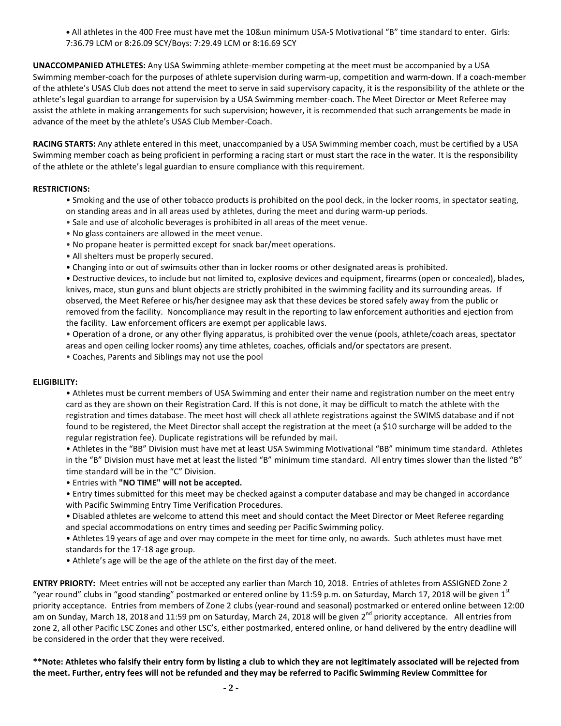**•** All athletes in the 400 Free must have met the 10&un minimum USA-S Motivational "B" time standard to enter. Girls: 7:36.79 LCM or 8:26.09 SCY/Boys: 7:29.49 LCM or 8:16.69 SCY

**UNACCOMPANIED ATHLETES:** Any USA Swimming athlete-member competing at the meet must be accompanied by a USA Swimming member-coach for the purposes of athlete supervision during warm-up, competition and warm-down. If a coach-member of the athlete's USAS Club does not attend the meet to serve in said supervisory capacity, it is the responsibility of the athlete or the athlete's legal guardian to arrange for supervision by a USA Swimming member-coach. The Meet Director or Meet Referee may assist the athlete in making arrangements for such supervision; however, it is recommended that such arrangements be made in advance of the meet by the athlete's USAS Club Member-Coach.

**RACING STARTS:** Any athlete entered in this meet, unaccompanied by a USA Swimming member coach, must be certified by a USA Swimming member coach as being proficient in performing a racing start or must start the race in the water. It is the responsibility of the athlete or the athlete's legal guardian to ensure compliance with this requirement.

## **RESTRICTIONS:**

- Smoking and the use of other tobacco products is prohibited on the pool deck, in the locker rooms, in spectator seating, on standing areas and in all areas used by athletes, during the meet and during warm-up periods.
- Sale and use of alcoholic beverages is prohibited in all areas of the meet venue.
- No glass containers are allowed in the meet venue.
- No propane heater is permitted except for snack bar/meet operations.
- All shelters must be properly secured.
- Changing into or out of swimsuits other than in locker rooms or other designated areas is prohibited.

• Destructive devices, to include but not limited to, explosive devices and equipment, firearms (open or concealed), blades, knives, mace, stun guns and blunt objects are strictly prohibited in the swimming facility and its surrounding areas. If observed, the Meet Referee or his/her designee may ask that these devices be stored safely away from the public or removed from the facility. Noncompliance may result in the reporting to law enforcement authorities and ejection from the facility. Law enforcement officers are exempt per applicable laws.

• Operation of a drone, or any other flying apparatus, is prohibited over the venue (pools, athlete/coach areas, spectator areas and open ceiling locker rooms) any time athletes, coaches, officials and/or spectators are present.

• Coaches, Parents and Siblings may not use the pool

#### **ELIGIBILITY:**

• Athletes must be current members of USA Swimming and enter their name and registration number on the meet entry card as they are shown on their Registration Card. If this is not done, it may be difficult to match the athlete with the registration and times database. The meet host will check all athlete registrations against the SWIMS database and if not found to be registered, the Meet Director shall accept the registration at the meet (a \$10 surcharge will be added to the regular registration fee). Duplicate registrations will be refunded by mail.

• Athletes in the "BB" Division must have met at least USA Swimming Motivational "BB" minimum time standard. Athletes in the "B" Division must have met at least the listed "B" minimum time standard. All entry times slower than the listed "B" time standard will be in the "C" Division.

- Entries with **"NO TIME" will not be accepted.**
- Entry times submitted for this meet may be checked against a computer database and may be changed in accordance with Pacific Swimming Entry Time Verification Procedures.

• Disabled athletes are welcome to attend this meet and should contact the Meet Director or Meet Referee regarding and special accommodations on entry times and seeding per Pacific Swimming policy.

• Athletes 19 years of age and over may compete in the meet for time only, no awards. Such athletes must have met standards for the 17-18 age group.

• Athlete's age will be the age of the athlete on the first day of the meet.

**ENTRY PRIORTY:** Meet entries will not be accepted any earlier than March 10, 2018. Entries of athletes from ASSIGNED Zone 2 "year round" clubs in "good standing" postmarked or entered online by 11:59 p.m. on Saturday, March 17, 2018 will be given  $1^{st}$ priority acceptance. Entries from members of Zone 2 clubs (year-round and seasonal) postmarked or entered online between 12:00 am on Sunday, March 18, 2018 and 11:59 pm on Saturday, March 24, 2018 will be given 2<sup>nd</sup> priority acceptance. All entries from zone 2, all other Pacific LSC Zones and other LSC's, either postmarked, entered online, or hand delivered by the entry deadline will be considered in the order that they were received.

**\*\*Note: Athletes who falsify their entry form by listing a club to which they are not legitimately associated will be rejected from the meet. Further, entry fees will not be refunded and they may be referred to Pacific Swimming Review Committee for**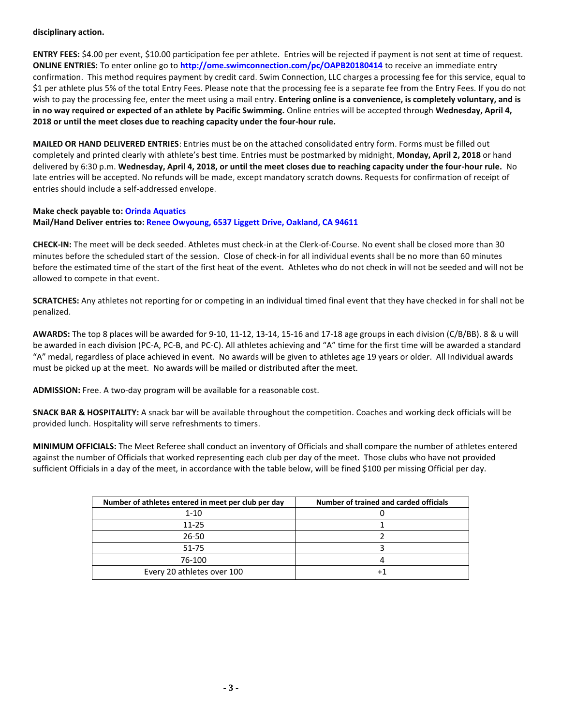#### **disciplinary action.**

**ENTRY FEES:** \$4.00 per event, \$10.00 participation fee per athlete. Entries will be rejected if payment is not sent at time of request. **ONLINE ENTRIES:** To enter online go to **<http://ome.swimconnection.com/pc/OAPB20180414>** to receive an immediate entry confirmation. This method requires payment by credit card. Swim Connection, LLC charges a processing fee for this service, equal to \$1 per athlete plus 5% of the total Entry Fees. Please note that the processing fee is a separate fee from the Entry Fees. If you do not wish to pay the processing fee, enter the meet using a mail entry. **Entering online is a convenience, is completely voluntary, and is in no way required or expected of an athlete by Pacific Swimming.** Online entries will be accepted through **Wednesday, April 4, 2018 or until the meet closes due to reaching capacity under the four-hour rule.** 

**MAILED OR HAND DELIVERED ENTRIES**: Entries must be on the attached consolidated entry form. Forms must be filled out completely and printed clearly with athlete's best time. Entries must be postmarked by midnight, **Monday, April 2, 2018** or hand delivered by 6:30 p.m. **Wednesday, April 4, 2018, or until the meet closes due to reaching capacity under the four-hour rule.** No late entries will be accepted. No refunds will be made, except mandatory scratch downs. Requests for confirmation of receipt of entries should include a self-addressed envelope.

# **Make check payable to: Orinda Aquatics Mail/Hand Deliver entries to: Renee Owyoung, 6537 Liggett Drive, Oakland, CA 94611**

**CHECK-IN:** The meet will be deck seeded. Athletes must check-in at the Clerk-of-Course. No event shall be closed more than 30 minutes before the scheduled start of the session. Close of check-in for all individual events shall be no more than 60 minutes before the estimated time of the start of the first heat of the event. Athletes who do not check in will not be seeded and will not be allowed to compete in that event.

**SCRATCHES:** Any athletes not reporting for or competing in an individual timed final event that they have checked in for shall not be penalized.

**AWARDS:** The top 8 places will be awarded for 9-10, 11-12, 13-14, 15-16 and 17-18 age groups in each division (C/B/BB). 8 & u will be awarded in each division (PC-A, PC-B, and PC-C). All athletes achieving and "A" time for the first time will be awarded a standard "A" medal, regardless of place achieved in event. No awards will be given to athletes age 19 years or older. All Individual awards must be picked up at the meet. No awards will be mailed or distributed after the meet.

**ADMISSION:** Free. A two-day program will be available for a reasonable cost.

**SNACK BAR & HOSPITALITY:** A snack bar will be available throughout the competition. Coaches and working deck officials will be provided lunch. Hospitality will serve refreshments to timers.

**MINIMUM OFFICIALS:** The Meet Referee shall conduct an inventory of Officials and shall compare the number of athletes entered against the number of Officials that worked representing each club per day of the meet. Those clubs who have not provided sufficient Officials in a day of the meet, in accordance with the table below, will be fined \$100 per missing Official per day.

| Number of athletes entered in meet per club per day | Number of trained and carded officials |
|-----------------------------------------------------|----------------------------------------|
| $1 - 10$                                            |                                        |
| $11 - 25$                                           |                                        |
| 26-50                                               |                                        |
| 51-75                                               |                                        |
| 76-100                                              |                                        |
| Every 20 athletes over 100                          |                                        |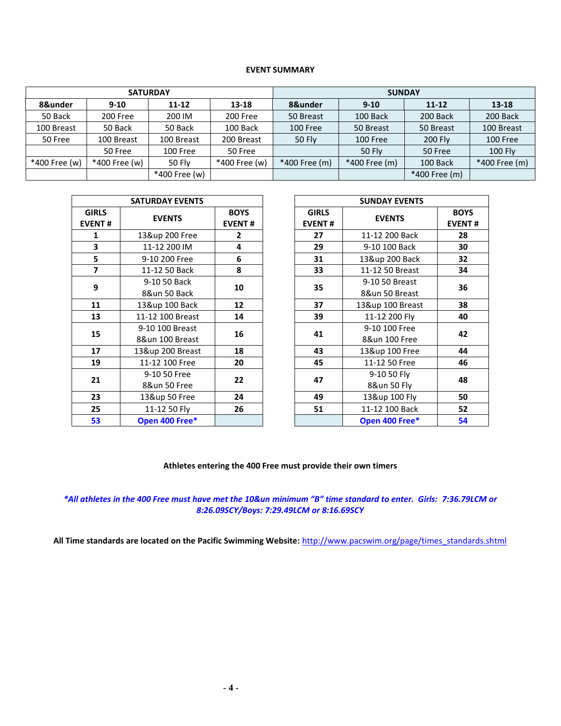#### **EVENT SUMMARY**

|               |               | <b>SATURDAY</b> |               | <b>SUNDAY</b>                  |               |               |                |  |  |  |
|---------------|---------------|-----------------|---------------|--------------------------------|---------------|---------------|----------------|--|--|--|
| 8&under       | $9 - 10$      | $11 - 12$       | 13-18         | 8&under                        | $9 - 10$      | $11 - 12$     | $13 - 18$      |  |  |  |
| 50 Back       | 200 Free      | 200 IM          | 200 Free      | 50 Breast                      | 100 Back      | 200 Back      | 200 Back       |  |  |  |
| 100 Breast    | 50 Back       | 50 Back         | 100 Back      | 100 Free                       | 50 Breast     | 50 Breast     | 100 Breast     |  |  |  |
| 50 Free       | 100 Breast    | 100 Breast      | 200 Breast    | 50 Fly                         | 100 Free      |               | 100 Free       |  |  |  |
|               | 50 Free       | 100 Free        | 50 Free       |                                | <b>50 Fly</b> | 50 Free       | <b>100 Fly</b> |  |  |  |
| *400 Free (w) | *400 Free (w) | 50 Fly          | *400 Free (w) | *400 Free (m)<br>*400 Free (m) |               | 100 Back      | *400 Free (m)  |  |  |  |
|               |               | *400 Free (w)   |               |                                |               | *400 Free (m) |                |  |  |  |

|                               | <b>SATURDAY EVENTS</b>             |                              | <b>SUNDAY EVENTS</b>          |                                |  |  |
|-------------------------------|------------------------------------|------------------------------|-------------------------------|--------------------------------|--|--|
| <b>GIRLS</b><br><b>EVENT#</b> | <b>EVENTS</b>                      | <b>BOYS</b><br><b>EVENT#</b> | <b>GIRLS</b><br><b>EVENT#</b> | <b>EVENTS</b>                  |  |  |
| $\mathbf{1}$                  | 13&up 200 Free                     | $\overline{2}$               | 27                            | 11-12 200 Back                 |  |  |
| 3                             | 11-12 200 IM                       | 4                            | 29                            | 9-10 100 Back                  |  |  |
| 5                             | 9-10 200 Free                      | 6                            | 31                            | 13&up 200 Back                 |  |  |
| $\overline{z}$                | 11-12 50 Back                      | 8                            | 33                            | 11-12 50 Breast                |  |  |
| 9                             | 9-10 50 Back                       | 10                           | 35                            | 9-10 50 Breast                 |  |  |
|                               | 8&un 50 Back                       |                              |                               | 8&un 50 Breast                 |  |  |
| 11                            | 13&up 100 Back                     | 12                           | 37                            | 13&up 100 Breast               |  |  |
| 13                            | 11-12 100 Breast                   | 14                           | 39                            | 11-12 200 Fly                  |  |  |
| 15                            | 9-10 100 Breast<br>8&un 100 Breast | 16                           | 41                            | 9-10 100 Free<br>8&un 100 Free |  |  |
| 17                            | 13&up 200 Breast                   | 18                           | 43                            | 13&up 100 Free                 |  |  |
| 19                            | 11-12 100 Free                     | 20                           | 45                            | 11-12 50 Free                  |  |  |
| 21                            | 9-10 50 Free                       | 22                           | 47                            | 9-10 50 Fly                    |  |  |
|                               | 8&un 50 Free                       |                              |                               | 8&un 50 Fly                    |  |  |
| 23                            | 13&up 50 Free                      | 24                           | 49                            | 13&up 100 Fly                  |  |  |
| 25                            | 11-12 50 Fly                       | 26                           | 51                            | 11-12 100 Back                 |  |  |
| 53                            | Open 400 Free*                     |                              |                               | Open 400 Free*                 |  |  |

| <b>SATURDAY EVENTS</b>                    |                                    |                              |          | <b>SUNDAY EVENTS</b>          |                                  |                              |  |  |  |
|-------------------------------------------|------------------------------------|------------------------------|----------|-------------------------------|----------------------------------|------------------------------|--|--|--|
| <b>IRLS</b><br>ENT#                       | <b>EVENTS</b>                      | <b>BOYS</b><br><b>EVENT#</b> |          | <b>GIRLS</b><br><b>EVENT#</b> | <b>EVENTS</b>                    | <b>BOYS</b><br><b>EVENT#</b> |  |  |  |
| $\mathbf{1}$                              | 13&up 200 Free                     | $\mathbf{2}$                 |          | 27                            | 11-12 200 Back                   | 28                           |  |  |  |
| $\begin{array}{c c}\n3 \\ 5\n\end{array}$ | 11-12 200 IM                       | 4                            |          | 29                            | 9-10 100 Back                    | 30                           |  |  |  |
|                                           | 9-10 200 Free                      | 6                            |          | 31                            | 13&up 200 Back                   | 32                           |  |  |  |
| $\overline{\mathbf{z}}$                   | 11-12 50 Back                      | 8                            |          | 33                            | 11-12 50 Breast                  | 34                           |  |  |  |
| $\mathbf{9}$                              | 9-10 50 Back<br>8&un 50 Back       | 10                           | 12<br>14 |                               | 9-10 50 Breast<br>8&un 50 Breast | 36                           |  |  |  |
| 11                                        | 13&up 100 Back                     |                              |          | 37                            | 13&up 100 Breast                 | 38                           |  |  |  |
| 13                                        | 11-12 100 Breast                   |                              |          | 39                            | 11-12 200 Fly                    | 40                           |  |  |  |
| 15                                        | 9-10 100 Breast<br>8&un 100 Breast | 16                           |          | 41                            | 9-10 100 Free<br>8&un 100 Free   | 42                           |  |  |  |
| 17                                        | 13&up 200 Breast                   | 18                           |          | 43                            | 13&up 100 Free                   | 44                           |  |  |  |
| 19                                        | 11-12 100 Free                     | 20                           |          | 45                            | 11-12 50 Free                    | 46                           |  |  |  |
| 21                                        | 9-10 50 Free<br>8&un 50 Free       | 22                           |          | 47                            | 9-10 50 Fly<br>8&un 50 Fly       | 48                           |  |  |  |
| 23                                        | 13&up 50 Free                      | 24                           |          | 49                            | 13&up 100 Fly                    | 50                           |  |  |  |
| 25                                        | 11-12 50 Fly                       | 26                           |          | 51                            | 11-12 100 Back                   | 52                           |  |  |  |
| 53                                        | Open 400 Free*                     |                              |          |                               | Open 400 Free*                   | 54                           |  |  |  |
|                                           |                                    |                              |          |                               |                                  |                              |  |  |  |

# **Athletes entering the 400 Free must provide their own timers**

# *\*All athletes in the 400 Free must have met the 10&un minimum "B" time standard to enter. Girls: 7:36.79LCM or 8:26.09SCY/Boys: 7:29.49LCM or 8:16.69SCY*

**All Time standards are located on the Pacific Swimming Website:** [http://www.pacswim.org/page/times\\_standards.shtml](http://www.pacswim.org/page/times_standards.shtml)